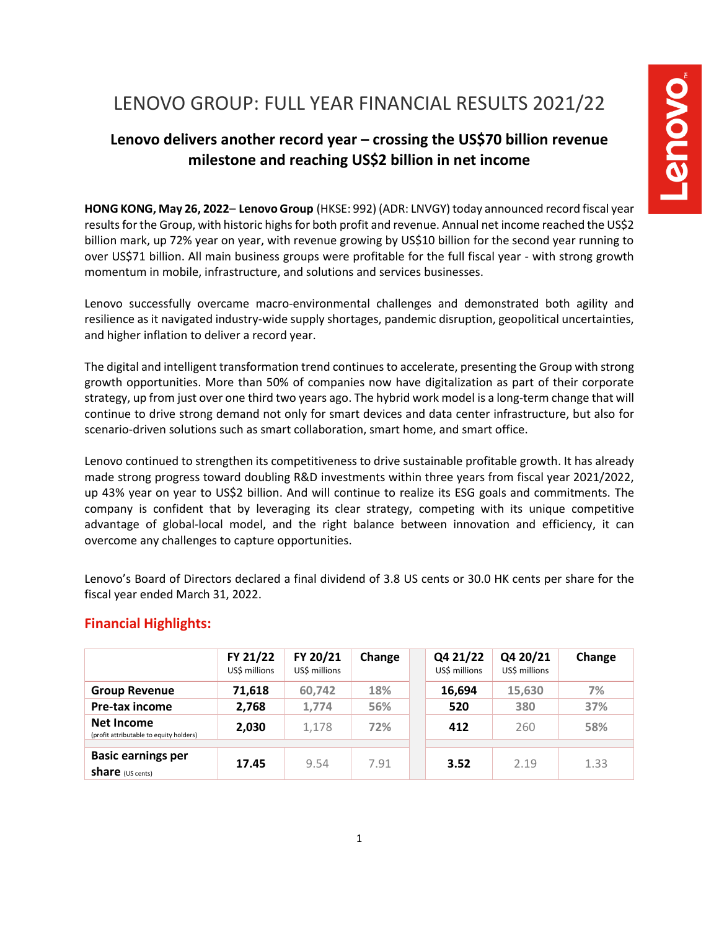# LENOVO GROUP: FULL YEAR FINANCIAL RESULTS 2021/22

# **Lenovo delivers another record year – crossing the US\$70 billion revenue milestone and reaching US\$2 billion in net income**

**HONG KONG, May 26, 2022**– **Lenovo Group** (HKSE: 992) (ADR: LNVGY) today announced record fiscal year results for the Group, with historic highs for both profit and revenue. Annual net income reached the US\$2 billion mark, up 72% year on year, with revenue growing by US\$10 billion for the second year running to over US\$71 billion. All main business groups were profitable for the full fiscal year - with strong growth momentum in mobile, infrastructure, and solutions and services businesses.

Lenovo successfully overcame macro-environmental challenges and demonstrated both agility and resilience as it navigated industry-wide supply shortages, pandemic disruption, geopolitical uncertainties, and higher inflation to deliver a record year.

The digital and intelligent transformation trend continues to accelerate, presenting the Group with strong growth opportunities. More than 50% of companies now have digitalization as part of their corporate strategy, up from just over one third two years ago. The hybrid work model is a long-term change that will continue to drive strong demand not only for smart devices and data center infrastructure, but also for scenario-driven solutions such as smart collaboration, smart home, and smart office.

Lenovo continued to strengthen its competitiveness to drive sustainable profitable growth. It has already made strong progress toward doubling R&D investments within three years from fiscal year 2021/2022, up 43% year on year to US\$2 billion. And will continue to realize its ESG goals and commitments. The company is confident that by leveraging its clear strategy, competing with its unique competitive advantage of global-local model, and the right balance between innovation and efficiency, it can overcome any challenges to capture opportunities.

Lenovo's Board of Directors declared a final dividend of 3.8 US cents or 30.0 HK cents per share for the fiscal year ended March 31, 2022.

|                                                       | FY 21/22<br>US\$ millions | FY 20/21<br>US\$ millions | Change | Q4 21/22<br>US\$ millions | Q4 20/21<br>US\$ millions | Change |
|-------------------------------------------------------|---------------------------|---------------------------|--------|---------------------------|---------------------------|--------|
| <b>Group Revenue</b>                                  | 71,618                    | 60,742                    | 18%    | 16,694                    | 15,630                    | 7%     |
| Pre-tax income                                        | 2,768                     | 1,774                     | 56%    | 520                       | 380                       | 37%    |
| Net Income<br>(profit attributable to equity holders) | 2,030                     | 1,178                     | 72%    | 412                       | 260                       | 58%    |
|                                                       |                           |                           |        |                           |                           |        |
| <b>Basic earnings per</b><br><b>share</b> (US cents)  | 17.45                     | 9.54                      | 7.91   | 3.52                      | 2.19                      | 1.33   |

# **Financial Highlights:**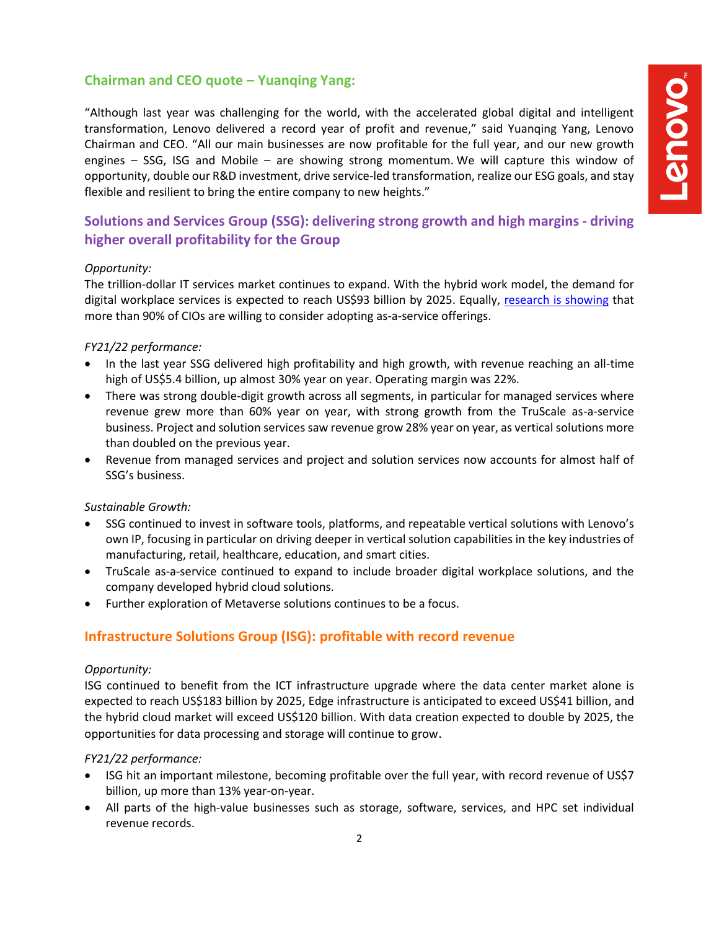# **Chairman and CEO quote – Yuanqing Yang:**

"Although last year was challenging for the world, with the accelerated global digital and intelligent transformation, Lenovo delivered a record year of profit and revenue," said Yuanqing Yang, Lenovo Chairman and CEO. "All our main businesses are now profitable for the full year, and our new growth engines – SSG, ISG and Mobile – are showing strong momentum. We will capture this window of opportunity, double our R&D investment, drive service-led transformation, realize our ESG goals, and stay flexible and resilient to bring the entire company to new heights."

# **Solutions and Services Group (SSG): delivering strong growth and high margins - driving higher overall profitability for the Group**

## *Opportunity:*

The trillion-dollar IT services market continues to expand. With the hybrid work model, the demand for digital workplace services is expected to reach US\$93 billion by 2025. Equally, [research is showing](https://news.lenovo.com/pressroom/press-releases/cios-would-replace-half-or-more-of-their-current-technology/) that more than 90% of CIOs are willing to consider adopting as-a-service offerings.

## *FY21/22 performance:*

- In the last year SSG delivered high profitability and high growth, with revenue reaching an all-time high of US\$5.4 billion, up almost 30% year on year. Operating margin was 22%.
- There was strong double-digit growth across all segments, in particular for managed services where revenue grew more than 60% year on year, with strong growth from the TruScale as-a-service business. Project and solution services saw revenue grow 28% year on year, as vertical solutions more than doubled on the previous year.
- Revenue from managed services and project and solution services now accounts for almost half of SSG's business.

#### *Sustainable Growth:*

- SSG continued to invest in software tools, platforms, and repeatable vertical solutions with Lenovo's own IP, focusing in particular on driving deeper in vertical solution capabilities in the key industries of manufacturing, retail, healthcare, education, and smart cities.
- TruScale as-a-service continued to expand to include broader digital workplace solutions, and the company developed hybrid cloud solutions.
- Further exploration of Metaverse solutions continues to be a focus.

# **Infrastructure Solutions Group (ISG): profitable with record revenue**

#### *Opportunity:*

ISG continued to benefit from the ICT infrastructure upgrade where the data center market alone is expected to reach US\$183 billion by 2025, Edge infrastructure is anticipated to exceed US\$41 billion, and the hybrid cloud market will exceed US\$120 billion. With data creation expected to double by 2025, the opportunities for data processing and storage will continue to grow.

#### *FY21/22 performance:*

- ISG hit an important milestone, becoming profitable over the full year, with record revenue of US\$7 billion, up more than 13% year-on-year.
- All parts of the high-value businesses such as storage, software, services, and HPC set individual revenue records.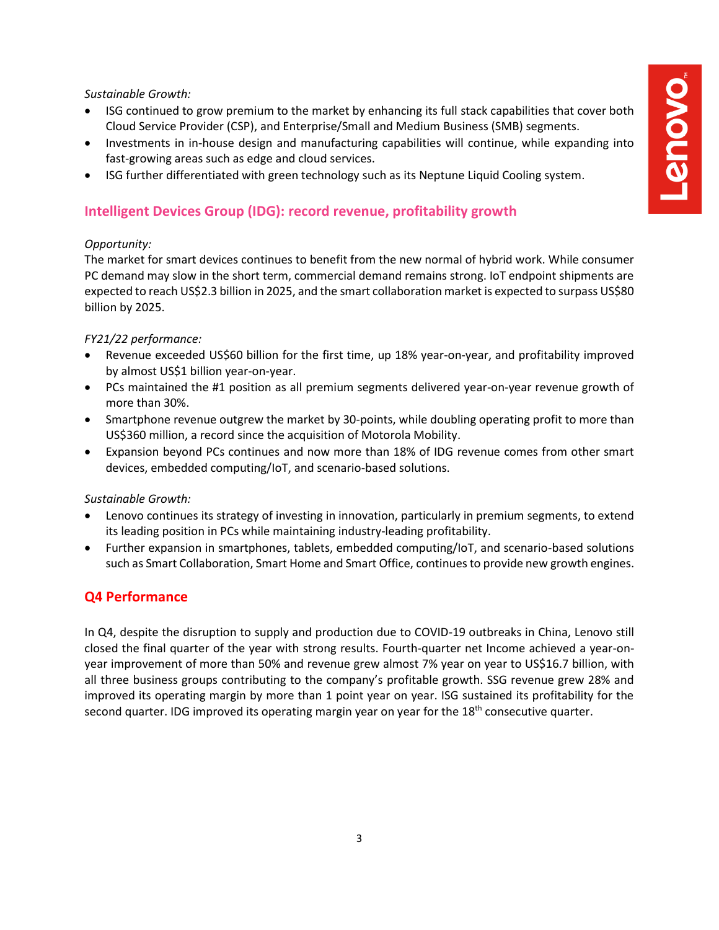#### *Sustainable Growth:*

- ISG continued to grow premium to the market by enhancing its full stack capabilities that cover both Cloud Service Provider (CSP), and Enterprise/Small and Medium Business (SMB) segments.
- Investments in in-house design and manufacturing capabilities will continue, while expanding into fast-growing areas such as edge and cloud services.
- ISG further differentiated with green technology such as its Neptune Liquid Cooling system.

# **Intelligent Devices Group (IDG): record revenue, profitability growth**

#### *Opportunity:*

The market for smart devices continues to benefit from the new normal of hybrid work. While consumer PC demand may slow in the short term, commercial demand remains strong. IoT endpoint shipments are expected to reach US\$2.3 billion in 2025, and the smart collaboration market is expected to surpass US\$80 billion by 2025.

## *FY21/22 performance:*

- Revenue exceeded US\$60 billion for the first time, up 18% year-on-year, and profitability improved by almost US\$1 billion year-on-year.
- PCs maintained the #1 position as all premium segments delivered year-on-year revenue growth of more than 30%.
- Smartphone revenue outgrew the market by 30-points, while doubling operating profit to more than US\$360 million, a record since the acquisition of Motorola Mobility.
- Expansion beyond PCs continues and now more than 18% of IDG revenue comes from other smart devices, embedded computing/IoT, and scenario-based solutions.

#### *Sustainable Growth:*

- Lenovo continues its strategy of investing in innovation, particularly in premium segments, to extend its leading position in PCs while maintaining industry-leading profitability.
- Further expansion in smartphones, tablets, embedded computing/IoT, and scenario-based solutions such as Smart Collaboration, Smart Home and Smart Office, continuesto provide new growth engines.

# **Q4 Performance**

In Q4, despite the disruption to supply and production due to COVID-19 outbreaks in China, Lenovo still closed the final quarter of the year with strong results. Fourth-quarter net Income achieved a year-onyear improvement of more than 50% and revenue grew almost 7% year on year to US\$16.7 billion, with all three business groups contributing to the company's profitable growth. SSG revenue grew 28% and improved its operating margin by more than 1 point year on year. ISG sustained its profitability for the second quarter. IDG improved its operating margin year on year for the 18<sup>th</sup> consecutive quarter.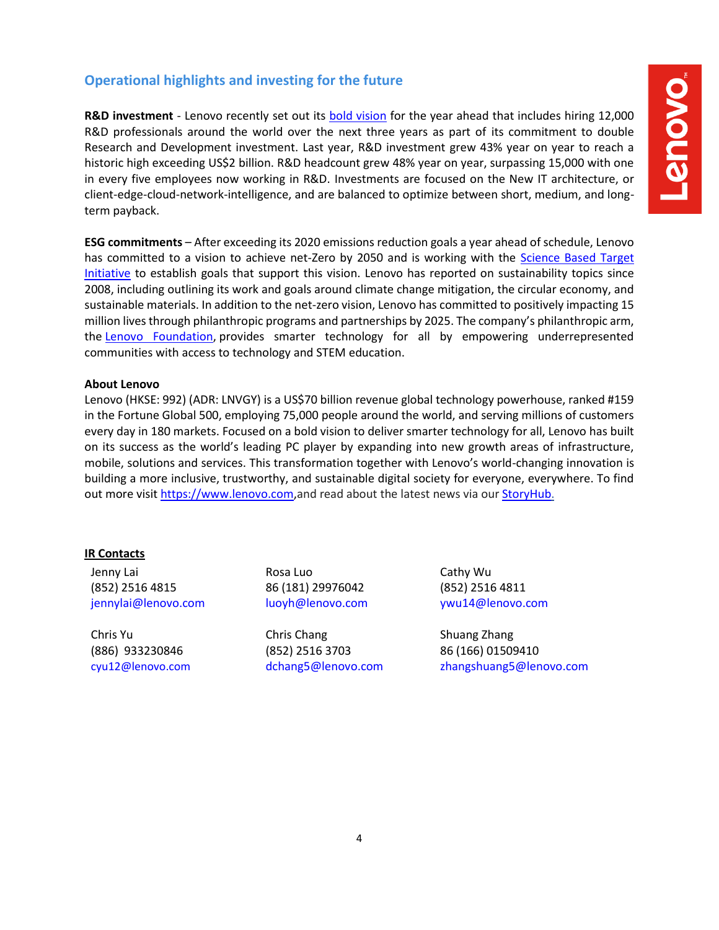# **Operational highlights and investing for the future**

**R&D investment** - Lenovo recently set out its [bold vision](https://news.lenovo.com/pressroom/press-releases/fy22-23-vision/) for the year ahead that includes hiring 12,000 R&D professionals around the world over the next three years as part of its commitment to double Research and Development investment. Last year, R&D investment grew 43% year on year to reach a historic high exceeding US\$2 billion. R&D headcount grew 48% year on year, surpassing 15,000 with one in every five employees now working in R&D. Investments are focused on the New IT architecture, or client-edge-cloud-network-intelligence, and are balanced to optimize between short, medium, and longterm payback.

**ESG commitments** – After exceeding its 2020 emissions reduction goals a year ahead of schedule, Lenovo has committed to a vision to achieve net-Zero by 2050 and is working with the [Science Based Target](https://sciencebasedtargets.org/)  [Initiative](https://sciencebasedtargets.org/) to establish goals that support this vision. Lenovo has reported on sustainability topics since 2008, including outlining its work and goals around climate change mitigation, the circular economy, and sustainable materials. In addition to the net-zero vision, Lenovo has committed to positively impacting 15 million lives through philanthropic programs and partnerships by 2025. The company's philanthropic arm, the [Lenovo Foundation,](https://www.lenovo.com/us/en/about/foundation/) provides smarter technology for all by empowering underrepresented communities with access to technology and STEM education.

## **About Lenovo**

Lenovo (HKSE: 992) (ADR: LNVGY) is a US\$70 billion revenue global technology powerhouse, ranked #159 in the Fortune Global 500, employing 75,000 people around the world, and serving millions of customers every day in 180 markets. Focused on a bold vision to deliver smarter technology for all, Lenovo has built on its success as the world's leading PC player by expanding into new growth areas of infrastructure, mobile, solutions and services. This transformation together with Lenovo's world-changing innovation is building a more inclusive, trustworthy, and sustainable digital society for everyone, everywhere. To find out more visi[t https://www.lenovo.com,](https://www.lenovo.com/)and read about the latest news via our [StoryHub.](http://storyhub.lenovo.com/)

## **IR Contacts**

Jenny Lai (852) 2516 4815 jennylai@lenovo.com

Chris Yu (886) 933230846 [cyu12@lenovo.com](file://///10.0.0.201/SFRHK/Lenovo/Release/2022/20220520_Q4/media/cyu12@lenovo.com)

Rosa Luo 86 (181) 29976042 luoyh@lenovo.com

Chris Chang (852) 2516 3703 dchang5@lenovo.com Cathy Wu (852) 2516 4811 ywu14@lenovo.com

Shuang Zhang 86 (166) 01509410 zhangshuang5@lenovo.com